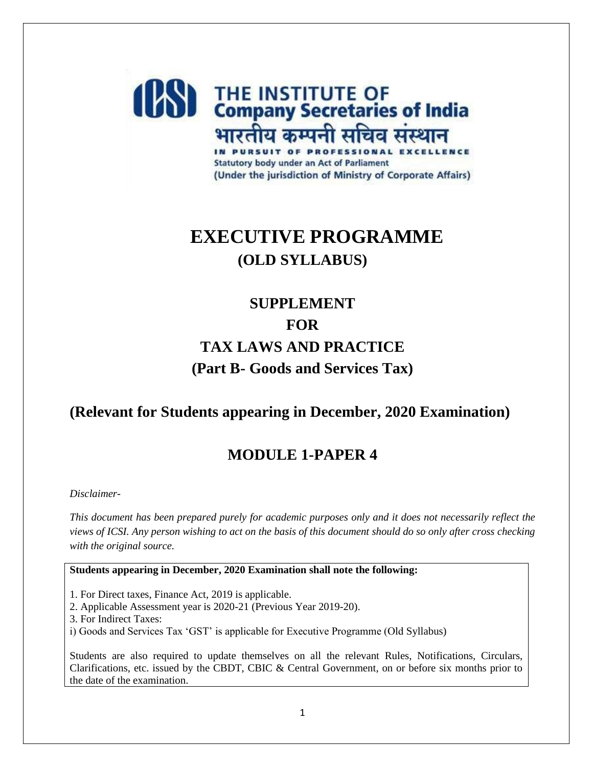

# **EXECUTIVE PROGRAMME (OLD SYLLABUS)**

# **SUPPLEMENT FOR TAX LAWS AND PRACTICE (Part B- Goods and Services Tax)**

# **(Relevant for Students appearing in December, 2020 Examination)**

# **MODULE 1-PAPER 4**

#### *Disclaimer-*

*This document has been prepared purely for academic purposes only and it does not necessarily reflect the views of ICSI. Any person wishing to act on the basis of this document should do so only after cross checking with the original source.*

#### **Students appearing in December, 2020 Examination shall note the following:**

1. For Direct taxes, Finance Act, 2019 is applicable.

- 2. Applicable Assessment year is 2020-21 (Previous Year 2019-20).
- 3. For Indirect Taxes:
- i) Goods and Services Tax 'GST' is applicable for Executive Programme (Old Syllabus)

Students are also required to update themselves on all the relevant Rules, Notifications, Circulars, Clarifications, etc. issued by the CBDT, CBIC & Central Government, on or before six months prior to the date of the examination.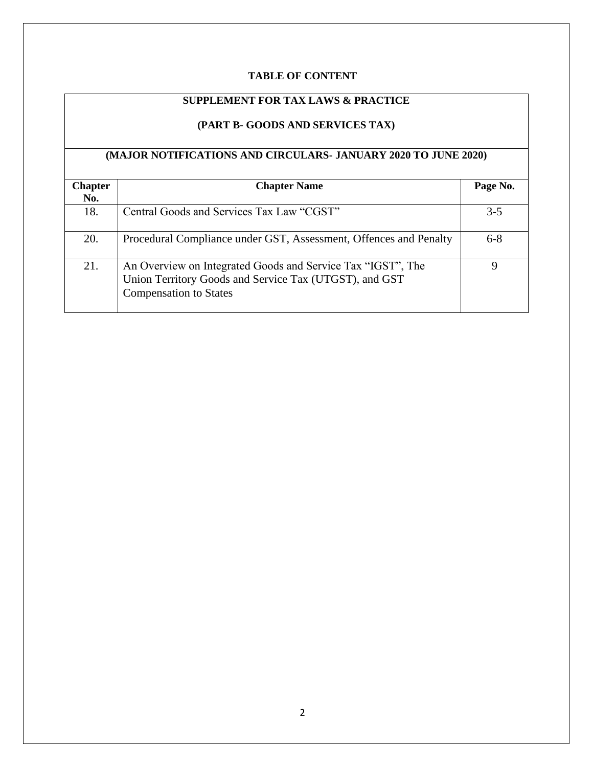## **TABLE OF CONTENT**

## **SUPPLEMENT FOR TAX LAWS & PRACTICE**

## **(PART B- GOODS AND SERVICES TAX)**

#### **(MAJOR NOTIFICATIONS AND CIRCULARS- JANUARY 2020 TO JUNE 2020)**

| <b>Chapter</b><br>No. | <b>Chapter Name</b>                                                                                                                                    | Page No. |
|-----------------------|--------------------------------------------------------------------------------------------------------------------------------------------------------|----------|
| 18.                   | Central Goods and Services Tax Law "CGST"                                                                                                              | $3 - 5$  |
| 20.                   | Procedural Compliance under GST, Assessment, Offences and Penalty                                                                                      | $6 - 8$  |
| 21.                   | An Overview on Integrated Goods and Service Tax "IGST", The<br>Union Territory Goods and Service Tax (UTGST), and GST<br><b>Compensation to States</b> |          |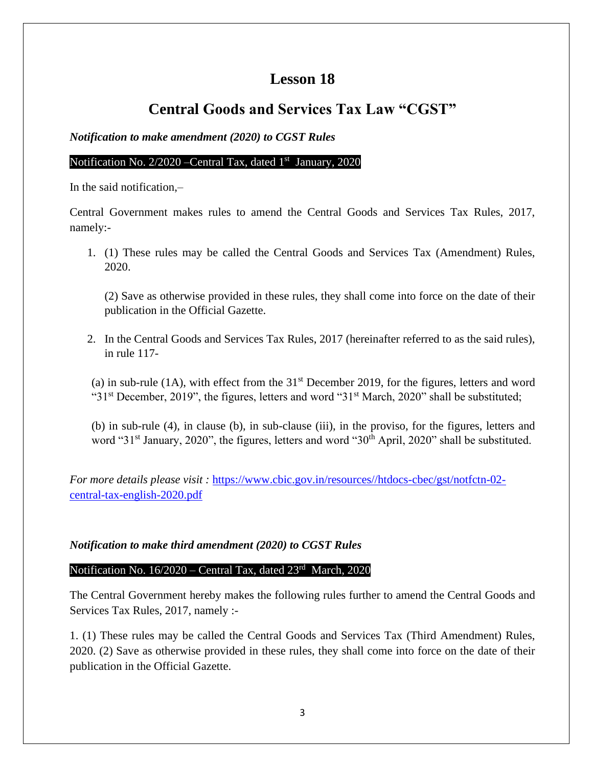## **Lesson 18**

# **Central Goods and Services Tax Law "CGST"**

*Notification to make amendment (2020) to CGST Rules*

### Notification No. 2/2020 - Central Tax, dated 1<sup>st</sup> January, 2020

In the said notification,–

Central Government makes rules to amend the Central Goods and Services Tax Rules, 2017, namely:-

1. (1) These rules may be called the Central Goods and Services Tax (Amendment) Rules, 2020.

(2) Save as otherwise provided in these rules, they shall come into force on the date of their publication in the Official Gazette.

2. In the Central Goods and Services Tax Rules, 2017 (hereinafter referred to as the said rules), in rule 117-

(a) in sub-rule (1A), with effect from the  $31<sup>st</sup>$  December 2019, for the figures, letters and word " $31<sup>st</sup>$  December, 2019", the figures, letters and word " $31<sup>st</sup>$  March, 2020" shall be substituted;

 (b) in sub-rule (4), in clause (b), in sub-clause (iii), in the proviso, for the figures, letters and word "31<sup>st</sup> January, 2020", the figures, letters and word "30<sup>th</sup> April, 2020" shall be substituted.

*For more details please visit :* [https://www.cbic.gov.in/resources//htdocs-cbec/gst/notfctn-02](https://www.cbic.gov.in/resources/htdocs-cbec/gst/notfctn-02-central-tax-english-2020.pdf) [central-tax-english-2020.pdf](https://www.cbic.gov.in/resources/htdocs-cbec/gst/notfctn-02-central-tax-english-2020.pdf) 

## *Notification to make third amendment (2020) to CGST Rules*

## Notification No. 16/2020 – Central Tax, dated 23<sup>rd</sup> March, 2020

The Central Government hereby makes the following rules further to amend the Central Goods and Services Tax Rules, 2017, namely :-

1. (1) These rules may be called the Central Goods and Services Tax (Third Amendment) Rules, 2020. (2) Save as otherwise provided in these rules, they shall come into force on the date of their publication in the Official Gazette.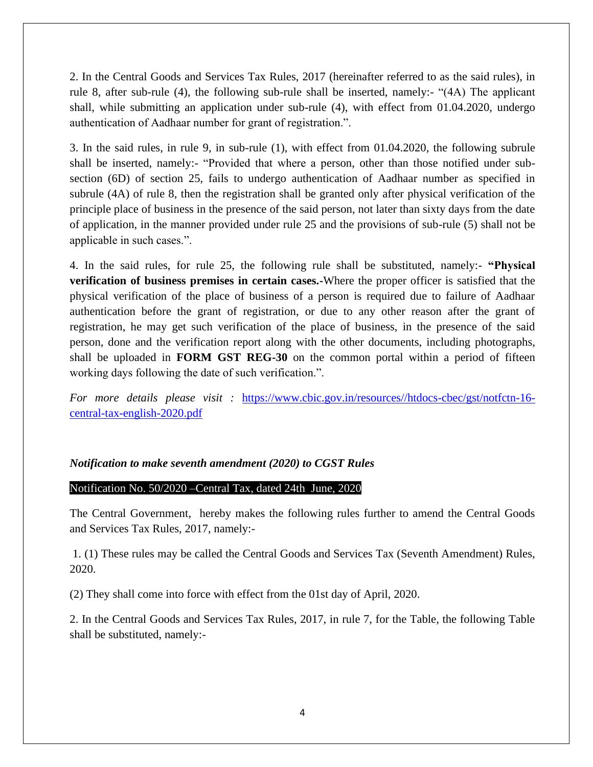2. In the Central Goods and Services Tax Rules, 2017 (hereinafter referred to as the said rules), in rule 8, after sub-rule (4), the following sub-rule shall be inserted, namely:- "(4A) The applicant shall, while submitting an application under sub-rule (4), with effect from 01.04.2020, undergo authentication of Aadhaar number for grant of registration.".

3. In the said rules, in rule 9, in sub-rule (1), with effect from 01.04.2020, the following subrule shall be inserted, namely:- "Provided that where a person, other than those notified under subsection (6D) of section 25, fails to undergo authentication of Aadhaar number as specified in subrule (4A) of rule 8, then the registration shall be granted only after physical verification of the principle place of business in the presence of the said person, not later than sixty days from the date of application, in the manner provided under rule 25 and the provisions of sub-rule (5) shall not be applicable in such cases.".

4. In the said rules, for rule 25, the following rule shall be substituted, namely:- **"Physical verification of business premises in certain cases.-**Where the proper officer is satisfied that the physical verification of the place of business of a person is required due to failure of Aadhaar authentication before the grant of registration, or due to any other reason after the grant of registration, he may get such verification of the place of business, in the presence of the said person, done and the verification report along with the other documents, including photographs, shall be uploaded in **FORM GST REG-30** on the common portal within a period of fifteen working days following the date of such verification.".

*For more details please visit :* [https://www.cbic.gov.in/resources//htdocs-cbec/gst/notfctn-16](https://www.cbic.gov.in/resources/htdocs-cbec/gst/notfctn-16-central-tax-english-2020.pdf) [central-tax-english-2020.pdf](https://www.cbic.gov.in/resources/htdocs-cbec/gst/notfctn-16-central-tax-english-2020.pdf)

#### *Notification to make seventh amendment (2020) to CGST Rules*

#### Notification No. 50/2020 –Central Tax, dated 24th June, 2020

The Central Government, hereby makes the following rules further to amend the Central Goods and Services Tax Rules, 2017, namely:-

1. (1) These rules may be called the Central Goods and Services Tax (Seventh Amendment) Rules, 2020.

(2) They shall come into force with effect from the 01st day of April, 2020.

2. In the Central Goods and Services Tax Rules, 2017, in rule 7, for the Table, the following Table shall be substituted, namely:-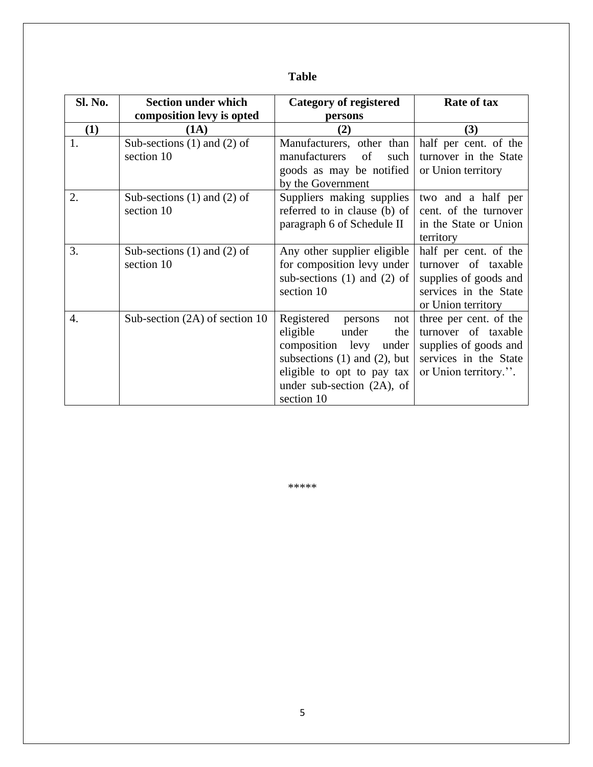## **Table**

| Sl. No. | <b>Section under which</b>                    | <b>Category of registered</b>                                                                                                                                                                           | Rate of tax                                                                                                              |
|---------|-----------------------------------------------|---------------------------------------------------------------------------------------------------------------------------------------------------------------------------------------------------------|--------------------------------------------------------------------------------------------------------------------------|
|         | composition levy is opted                     | persons                                                                                                                                                                                                 |                                                                                                                          |
| (1)     | (1A)                                          | (2)                                                                                                                                                                                                     | (3)                                                                                                                      |
| 1.      | Sub-sections $(1)$ and $(2)$ of<br>section 10 | Manufacturers, other than<br>manufacturers<br>of<br>such<br>goods as may be notified<br>by the Government                                                                                               | half per cent. of the<br>turnover in the State<br>or Union territory                                                     |
| 2.      | Sub-sections $(1)$ and $(2)$ of<br>section 10 | Suppliers making supplies<br>referred to in clause (b) of<br>paragraph 6 of Schedule II                                                                                                                 | two and a half per<br>cent. of the turnover<br>in the State or Union<br>territory                                        |
| 3.      | Sub-sections $(1)$ and $(2)$ of<br>section 10 | Any other supplier eligible<br>for composition levy under<br>sub-sections $(1)$ and $(2)$ of<br>section 10                                                                                              | half per cent. of the<br>turnover of taxable<br>supplies of goods and<br>services in the State<br>or Union territory     |
| 4.      | Sub-section $(2A)$ of section 10              | Registered<br>persons<br>not<br>eligible<br>under<br>the<br>composition levy<br>under<br>subsections $(1)$ and $(2)$ , but<br>eligible to opt to pay tax<br>under sub-section $(2A)$ , of<br>section 10 | three per cent. of the<br>turnover of taxable<br>supplies of goods and<br>services in the State<br>or Union territory.". |

\*\*\*\*\*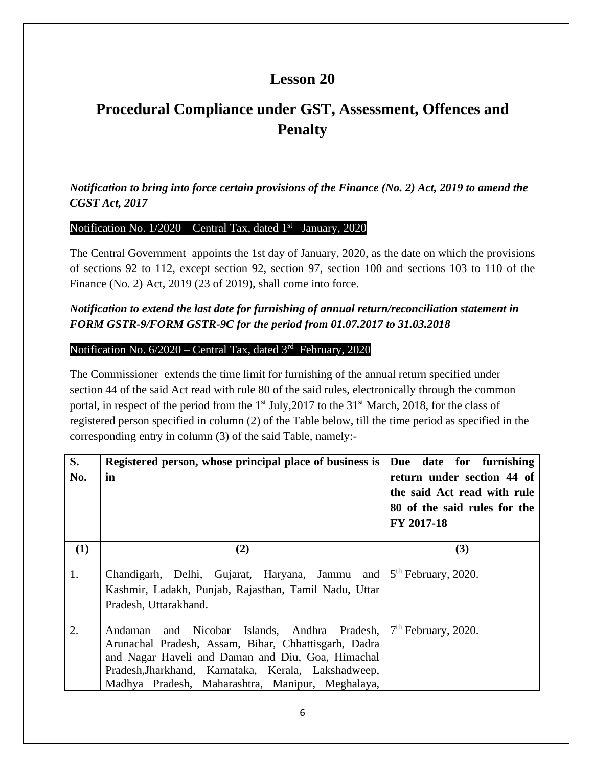## **Lesson 20**

# **Procedural Compliance under GST, Assessment, Offences and Penalty**

*Notification to bring into force certain provisions of the Finance (No. 2) Act, 2019 to amend the CGST Act, 2017*

## Notification No.  $1/2020$  – Central Tax, dated  $1<sup>st</sup>$  January, 2020

The Central Government appoints the 1st day of January, 2020, as the date on which the provisions of sections 92 to 112, except section 92, section 97, section 100 and sections 103 to 110 of the Finance (No. 2) Act, 2019 (23 of 2019), shall come into force.

## *Notification to extend the last date for furnishing of annual return/reconciliation statement in FORM GSTR-9/FORM GSTR-9C for the period from 01.07.2017 to 31.03.2018*

### Notification No. 6/2020 – Central Tax, dated 3<sup>rd</sup> February, 2020

The Commissioner extends the time limit for furnishing of the annual return specified under section 44 of the said Act read with rule 80 of the said rules, electronically through the common portal, in respect of the period from the  $1<sup>st</sup>$  July, 2017 to the 31<sup>st</sup> March, 2018, for the class of registered person specified in column (2) of the Table below, till the time period as specified in the corresponding entry in column (3) of the said Table, namely:-

| S.  | Registered person, whose principal place of business is   Due date for furnishing |                                                           |
|-----|-----------------------------------------------------------------------------------|-----------------------------------------------------------|
| No. | in                                                                                | return under section 44 of<br>the said Act read with rule |
|     |                                                                                   | 80 of the said rules for the                              |
|     |                                                                                   | FY 2017-18                                                |
| (1) | (2)                                                                               | (3)                                                       |
| 1.  | Chandigarh, Delhi, Gujarat, Haryana, Jammu and                                    | $5th$ February, 2020.                                     |
|     | Kashmir, Ladakh, Punjab, Rajasthan, Tamil Nadu, Uttar                             |                                                           |
|     | Pradesh, Uttarakhand.                                                             |                                                           |
|     |                                                                                   |                                                           |
| 2.  | and Nicobar Islands, Andhra Pradesh,<br>Andaman                                   | $7th$ February, 2020.                                     |
|     | Arunachal Pradesh, Assam, Bihar, Chhattisgarh, Dadra                              |                                                           |
|     | and Nagar Haveli and Daman and Diu, Goa, Himachal                                 |                                                           |
|     | Pradesh, Jharkhand, Karnataka, Kerala, Lakshadweep,                               |                                                           |
|     | Madhya Pradesh, Maharashtra, Manipur, Meghalaya,                                  |                                                           |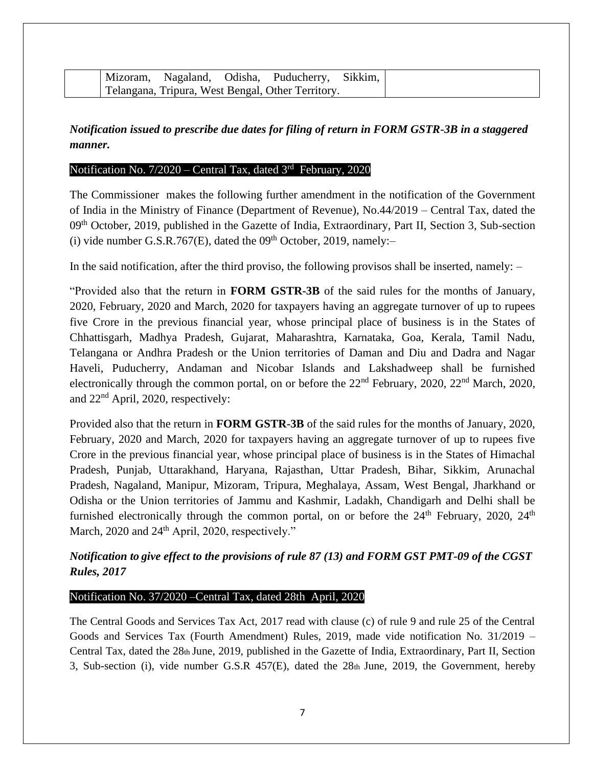| Mizoram, |  | , Nagaland, Odisha, Puducherry, Sikkim,           |  |
|----------|--|---------------------------------------------------|--|
|          |  | Telangana, Tripura, West Bengal, Other Territory. |  |

## *Notification issued to prescribe due dates for filing of return in FORM GSTR-3B in a staggered manner.*

### Notification No. 7/2020 – Central Tax, dated 3<sup>rd</sup> February, 2020

The Commissioner makes the following further amendment in the notification of the Government of India in the Ministry of Finance (Department of Revenue), No.44/2019 – Central Tax, dated the 09<sup>th</sup> October, 2019, published in the Gazette of India, Extraordinary, Part II, Section 3, Sub-section (i) vide number G.S.R.767 $(E)$ , dated the 09<sup>th</sup> October, 2019, namely:-

In the said notification, after the third proviso, the following provisos shall be inserted, namely:  $-$ 

"Provided also that the return in **FORM GSTR-3B** of the said rules for the months of January, 2020, February, 2020 and March, 2020 for taxpayers having an aggregate turnover of up to rupees five Crore in the previous financial year, whose principal place of business is in the States of Chhattisgarh, Madhya Pradesh, Gujarat, Maharashtra, Karnataka, Goa, Kerala, Tamil Nadu, Telangana or Andhra Pradesh or the Union territories of Daman and Diu and Dadra and Nagar Haveli, Puducherry, Andaman and Nicobar Islands and Lakshadweep shall be furnished electronically through the common portal, on or before the  $22<sup>nd</sup>$  February, 2020,  $22<sup>nd</sup>$  March, 2020, and 22nd April, 2020, respectively:

Provided also that the return in **FORM GSTR-3B** of the said rules for the months of January, 2020, February, 2020 and March, 2020 for taxpayers having an aggregate turnover of up to rupees five Crore in the previous financial year, whose principal place of business is in the States of Himachal Pradesh, Punjab, Uttarakhand, Haryana, Rajasthan, Uttar Pradesh, Bihar, Sikkim, Arunachal Pradesh, Nagaland, Manipur, Mizoram, Tripura, Meghalaya, Assam, West Bengal, Jharkhand or Odisha or the Union territories of Jammu and Kashmir, Ladakh, Chandigarh and Delhi shall be furnished electronically through the common portal, on or before the  $24<sup>th</sup>$  February, 2020,  $24<sup>th</sup>$ March, 2020 and 24<sup>th</sup> April, 2020, respectively."

## *Notification to give effect to the provisions of rule 87 (13) and FORM GST PMT-09 of the CGST Rules, 2017*

#### Notification No. 37/2020 –Central Tax, dated 28th April, 2020

The Central Goods and Services Tax Act, 2017 read with clause (c) of rule 9 and rule 25 of the Central Goods and Services Tax (Fourth Amendment) Rules, 2019, made vide notification No. 31/2019 – Central Tax, dated the 28th June, 2019, published in the Gazette of India, Extraordinary, Part II, Section 3, Sub-section (i), vide number G.S.R 457(E), dated the 28th June, 2019, the Government, hereby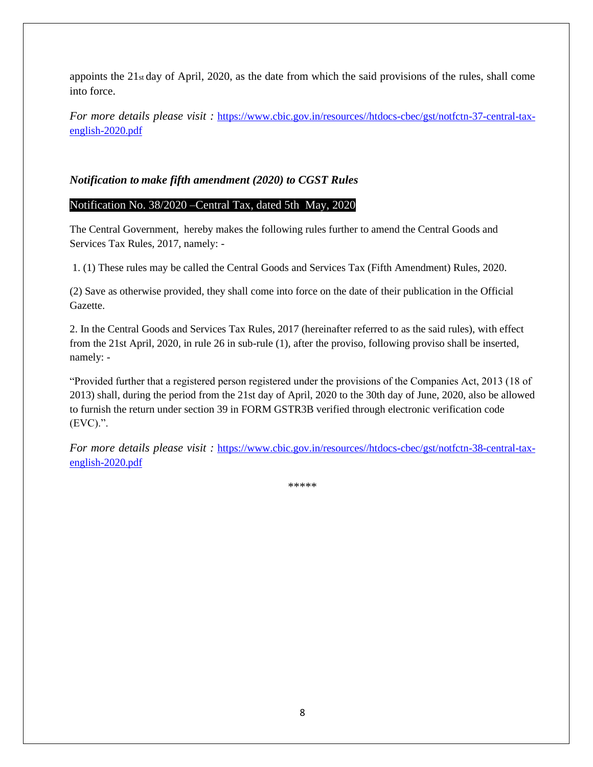appoints the 21st day of April, 2020, as the date from which the said provisions of the rules, shall come into force.

*For more details please visit : [https://www.cbic.gov.in/resources//htdocs-cbec/gst/notfctn-37-central-tax](https://www.cbic.gov.in/resources/htdocs-cbec/gst/notfctn-37-central-tax-english-2020.pdf)*[english-2020.pdf](https://www.cbic.gov.in/resources/htdocs-cbec/gst/notfctn-37-central-tax-english-2020.pdf)

## *Notification to make fifth amendment (2020) to CGST Rules*

### Notification No. 38/2020 –Central Tax, dated 5th May, 2020

The Central Government, hereby makes the following rules further to amend the Central Goods and Services Tax Rules, 2017, namely: -

1. (1) These rules may be called the Central Goods and Services Tax (Fifth Amendment) Rules, 2020.

(2) Save as otherwise provided, they shall come into force on the date of their publication in the Official Gazette.

2. In the Central Goods and Services Tax Rules, 2017 (hereinafter referred to as the said rules), with effect from the 21st April, 2020, in rule 26 in sub-rule (1), after the proviso, following proviso shall be inserted, namely: -

"Provided further that a registered person registered under the provisions of the Companies Act, 2013 (18 of 2013) shall, during the period from the 21st day of April, 2020 to the 30th day of June, 2020, also be allowed to furnish the return under section 39 in FORM GSTR3B verified through electronic verification code (EVC).".

*For more details please visit : [https://www.cbic.gov.in/resources//htdocs-cbec/gst/notfctn-38-central-tax](https://www.cbic.gov.in/resources/htdocs-cbec/gst/notfctn-38-central-tax-english-2020.pdf)*[english-2020.pdf](https://www.cbic.gov.in/resources/htdocs-cbec/gst/notfctn-38-central-tax-english-2020.pdf)

\*\*\*\*\*